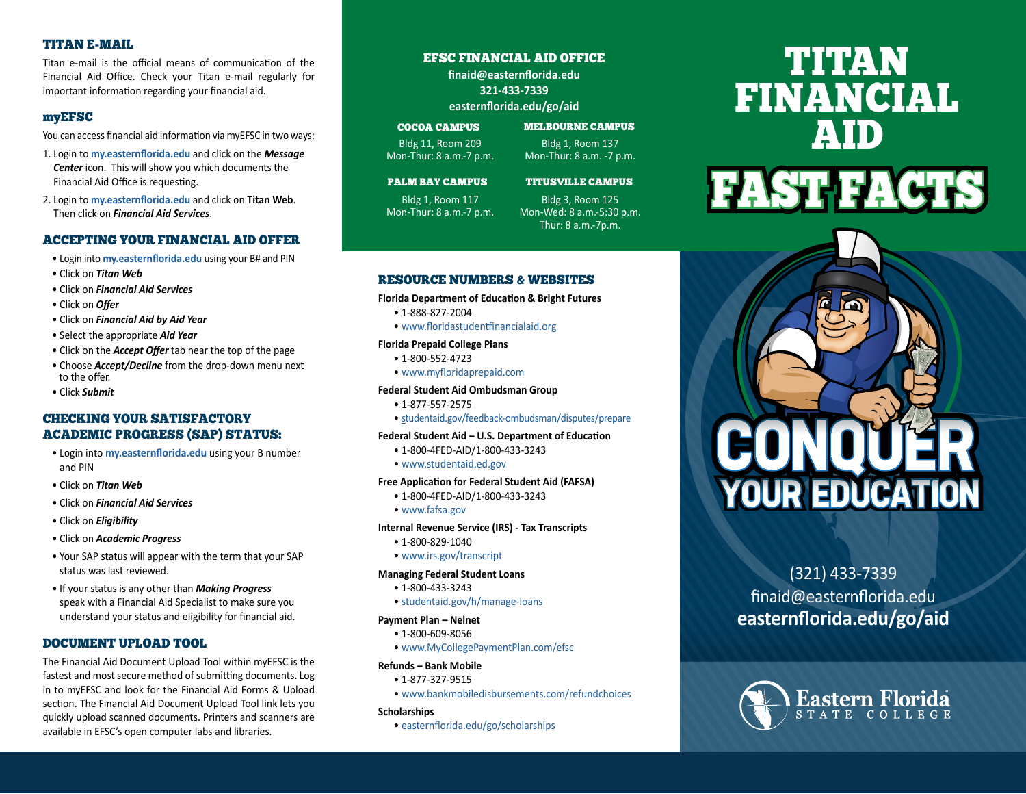### TITAN E-MAIL

Titan e-mail is the official means of communication of the Financial Aid Office. Check your Titan e-mail regularly for important information regarding your financial aid.

### myEFSC

You can access financial aid information via myEFSC in two ways:

- 1. Login to **[my.easternflorida.edu](http://my.easternflorida.edu)** and click on the *Message Center* icon. This will show you which documents the Financial Aid Office is requesting.
- 2. Login to **[my.easternflorida.edu](http://my.easternflorida.edu)** and click on **Titan Web**. Then click on *Financial Aid Services*.

### ACCEPTING YOUR FINANCIAL AID OFFER

- Login into **[my.easternflorida.edu](http://my.easternflorida.edu)** using your B# and PIN
- Click on *Titan Web*
- Click on *Financial Aid Services*
- Click on *Offer*
- Click on *Financial Aid by Aid Year*
- Select the appropriate *Aid Year*
- Click on the *Accept Offer* tab near the top of the page
- Choose *Accept/Decline* from the drop-down menu next to the offer.
- Click *Submit*

### CHECKING YOUR SATISFACTORY ACADEMIC PROGRESS (SAP) STATUS:

- Login into **[my.easternflorida.edu](http://my.easternflorida.edu)** using your B number and PIN
- Click on *Titan Web*
- Click on *Financial Aid Services*
- Click on *Eligibility*
- Click on *Academic Progress*
- Your SAP status will appear with the term that your SAP status was last reviewed.
- If your status is any other than *Making Progress* speak with a Financial Aid Specialist to make sure you understand your status and eligibility for financial aid.

### DOCUMENT UPLOAD TOOL

The Financial Aid Document Upload Tool within myEFSC is the fastest and most secure method of submitting documents. Log in to myEFSC and look for the Financial Aid Forms & Upload section. The Financial Aid Document Upload Tool link lets you quickly upload scanned documents. Printers and scanners are available in EFSC's open computer labs and libraries.

### EFSC FINANCIAL AID OFFICE

**[finaid@easternflorida.edu](mailto:finaid@easternflorida.edu) 321-433-7339 [easternflorida.edu/go/aid](http://easternflorida.edu/go/aid)**

### COCOA CAMPUS

Bldg 11, Room 209 Bldg 1, Room 137 Mon-Thur: 8 a.m.-7 p.m. Mon-Thur: 8 a.m. -7 p.m.

MELBOURNE CAMPUS

### PALM BAY CAMPUS

Bldg 1, Room 117 Bldg 3, Room 125 Mon-Thur: 8 a.m.-7 p.m. Mon-Wed: 8 a.m.-5:30 p.m. Thur: 8 a.m.-7p.m.

### RESOURCE NUMBERS & WEBSITES

### **Florida Department of Education & Bright Futures**

- 1-888-827-2004
- [www.floridastudentfinancialaid.org](http://www.floridastudentfinancialaid.org)

### **Florida Prepaid College Plans**

- 1-800-552-4723
- [www.myfloridaprepaid.com](http://www.myfloridaprepaid.com)

### **Federal Student Aid Ombudsman Group**

- 1-877-557-2575
- s[tudentaid.gov/feedback-ombudsman/disputes/prepare](http://studentaid.gov/feedback-ombudsman/disputes/prepare)

### **Federal Student Aid – U.S. Department of Education**

- 1-800-4FED-AID/1-800-433-3243
- [www.studentaid.ed.gov](http://www.studentaid.ed.gov)

### **Free Application for Federal Student Aid (FAFSA)**

• 1-800-4FED-AID/1-800-433-3243

### • [www.fafsa.gov](http://www.fafsa.gov)

### **Internal Revenue Service (IRS) - Tax Transcripts**

- 1-800-829-1040
- [www.irs.gov/transcript](http://www.irs.gov/transcript)

### **Managing Federal Student Loans**

- 1-800-433-3243
- [studentaid.gov/h/manage-loans](http://studentaid.gov/h/manage-loans)

### **Payment Plan – Nelnet**

- 1-800-609-8056
- [www.MyCollegePaymentPlan.com/efsc](http://www.MyCollegePaymentPlan.com/efsc)

### **Refunds – Bank Mobile**

- 1-877-327-9515
- [www.bankmobiledisbursements.com/refundchoices](http://www.bankmobiledisbursements.com/refundchoices)

### **Scholarships**

• [easternflorida.edu/go/scholarships](http://easternflorida.edu/go/scholarships)

# TITAN FINANCIAL AID





## (321) 433-7339

finaid@easternflorida.edu **[easternflorida.edu/go/aid](http://easternflorida.edu/go/aid)**



## TITUSVILLE CAMPUS